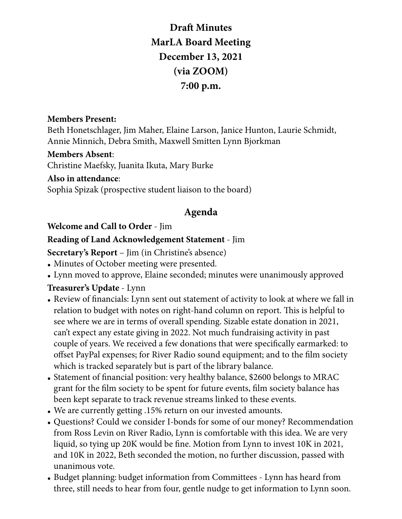**Draft Minutes MarLA Board Meeting December 13, 2021 (via ZOOM) 7:00 p.m.**

### **Members Present:**

Beth Honetschlager, Jim Maher, Elaine Larson, Janice Hunton, Laurie Schmidt, Annie Minnich, Debra Smith, Maxwell Smitten Lynn Bjorkman

#### **Members Absent**:

Christine Maefsky, Juanita Ikuta, Mary Burke

#### **Also in attendance**:

Sophia Spizak (prospective student liaison to the board)

### **Agenda**

### **Welcome and Call to Order** - Jim

### **Reading of Land Acknowledgement Statement** - Jim

**Secretary's Report** – Jim (in Christine's absence)

- Minutes of October meeting were presented.
- Lynn moved to approve, Elaine seconded; minutes were unanimously approved

### **Treasurer's Update** - Lynn

- Review of financials: Lynn sent out statement of activity to look at where we fall in relation to budget with notes on right-hand column on report. This is helpful to see where we are in terms of overall spending. Sizable estate donation in 2021, can't expect any estate giving in 2022. Not much fundraising activity in past couple of years. We received a few donations that were specifically earmarked: to offset PayPal expenses; for River Radio sound equipment; and to the film society which is tracked separately but is part of the library balance.
- Statement of financial position: very healthy balance, \$2600 belongs to MRAC grant for the film society to be spent for future events, film society balance has been kept separate to track revenue streams linked to these events.
- We are currently getting .15% return on our invested amounts.
- Questions? Could we consider I-bonds for some of our money? Recommendation from Ross Levin on River Radio, Lynn is comfortable with this idea. We are very liquid, so tying up 20K would be fine. Motion from Lynn to invest 10K in 2021, and 10K in 2022, Beth seconded the motion, no further discussion, passed with unanimous vote.
- Budget planning: budget information from Committees Lynn has heard from three, still needs to hear from four, gentle nudge to get information to Lynn soon.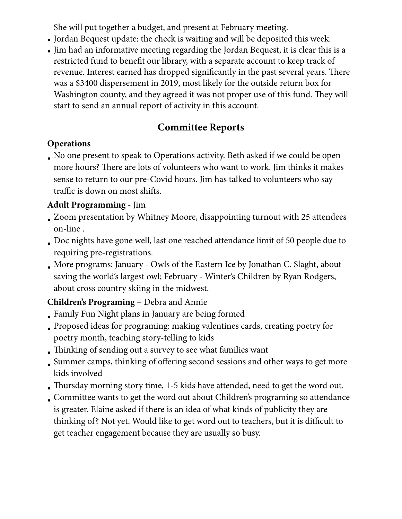She will put together a budget, and present at February meeting.

- Jordan Bequest update: the check is waiting and will be deposited this week.
- Jim had an informative meeting regarding the Jordan Bequest, it is clear this is a restricted fund to benefit our library, with a separate account to keep track of revenue. Interest earned has dropped significantly in the past several years. There was a \$3400 dispersement in 2019, most likely for the outside return box for Washington county, and they agreed it was not proper use of this fund. They will start to send an annual report of activity in this account.

# **Committee Reports**

## **Operations**

• No one present to speak to Operations activity. Beth asked if we could be open more hours? There are lots of volunteers who want to work. Jim thinks it makes sense to return to our pre-Covid hours. Jim has talked to volunteers who say traffic is down on most shifts.

## **Adult Programming** - Jim

- Zoom presentation by Whitney Moore, disappointing turnout with 25 attendees on-line .
- Doc nights have gone well, last one reached attendance limit of 50 people due to requiring pre-registrations.
- More programs: January Owls of the Eastern Ice by Jonathan C. Slaght, about saving the world's largest owl; February - Winter's Children by Ryan Rodgers, about cross country skiing in the midwest.

# **Children's Programing** – Debra and Annie

- Family Fun Night plans in January are being formed
- Proposed ideas for programing: making valentines cards, creating poetry for poetry month, teaching story-telling to kids
- Thinking of sending out a survey to see what families want
- Summer camps, thinking of offering second sessions and other ways to get more kids involved
- Thursday morning story time, 1-5 kids have attended, need to get the word out.
- Committee wants to get the word out about Children's programing so attendance is greater. Elaine asked if there is an idea of what kinds of publicity they are thinking of? Not yet. Would like to get word out to teachers, but it is difficult to get teacher engagement because they are usually so busy.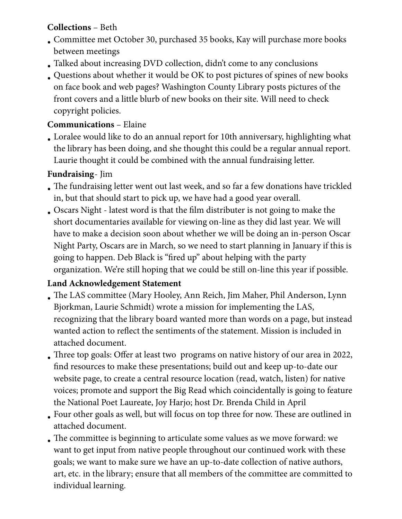## **Collections** – Beth

- Committee met October 30, purchased 35 books, Kay will purchase more books between meetings
- Talked about increasing DVD collection, didn't come to any conclusions
- Questions about whether it would be OK to post pictures of spines of new books
- on face book and web pages? Washington County Library posts pictures of the front covers and a little blurb of new books on their site. Will need to check copyright policies.

### **Communications** – Elaine

• Loralee would like to do an annual report for 10th anniversary, highlighting what the library has been doing, and she thought this could be a regular annual report. Laurie thought it could be combined with the annual fundraising letter.

### **Fundraising**- Jim

- The fundraising letter went out last week, and so far a few donations have trickled in, but that should start to pick up, we have had a good year overall.
- Oscars Night latest word is that the film distributer is not going to make the short documentaries available for viewing on-line as they did last year. We will have to make a decision soon about whether we will be doing an in-person Oscar Night Party, Oscars are in March, so we need to start planning in January if this is going to happen. Deb Black is "fired up" about helping with the party organization. We're still hoping that we could be still on-line this year if possible.

## **Land Acknowledgement Statement**

- The LAS committee (Mary Hooley, Ann Reich, Jim Maher, Phil Anderson, Lynn Bjorkman, Laurie Schmidt) wrote a mission for implementing the LAS, recognizing that the library board wanted more than words on a page, but instead wanted action to reflect the sentiments of the statement. Mission is included in attached document.
- Three top goals: Offer at least two programs on native history of our area in 2022, find resources to make these presentations; build out and keep up-to-date our website page, to create a central resource location (read, watch, listen) for native voices; promote and support the Big Read which coincidentally is going to feature the National Poet Laureate, Joy Harjo; host Dr. Brenda Child in April
- Four other goals as well, but will focus on top three for now. These are outlined in attached document.
- The committee is beginning to articulate some values as we move forward: we want to get input from native people throughout our continued work with these goals; we want to make sure we have an up-to-date collection of native authors, art, etc. in the library; ensure that all members of the committee are committed to individual learning.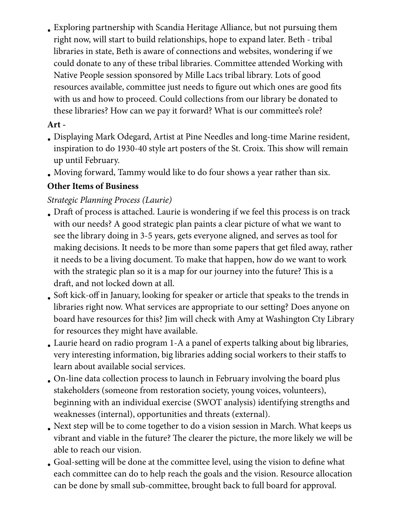• Exploring partnership with Scandia Heritage Alliance, but not pursuing them right now, will start to build relationships, hope to expand later. Beth - tribal libraries in state, Beth is aware of connections and websites, wondering if we could donate to any of these tribal libraries. Committee attended Working with Native People session sponsored by Mille Lacs tribal library. Lots of good resources available, committee just needs to figure out which ones are good fits with us and how to proceed. Could collections from our library be donated to these libraries? How can we pay it forward? What is our committee's role?

## **Art -**

- Displaying Mark Odegard, Artist at Pine Needles and long-time Marine resident, inspiration to do 1930-40 style art posters of the St. Croix. This show will remain up until February.
- Moving forward, Tammy would like to do four shows a year rather than six.

## **Other Items of Business**

## *Strategic Planning Process (Laurie)*

- Draft of process is attached. Laurie is wondering if we feel this process is on track with our needs? A good strategic plan paints a clear picture of what we want to see the library doing in 3-5 years, gets everyone aligned, and serves as tool for making decisions. It needs to be more than some papers that get filed away, rather it needs to be a living document. To make that happen, how do we want to work with the strategic plan so it is a map for our journey into the future? This is a draft, and not locked down at all.
- Soft kick-off in January, looking for speaker or article that speaks to the trends in libraries right now. What services are appropriate to our setting? Does anyone on board have resources for this? Jim will check with Amy at Washington Cty Library for resources they might have available.
- Laurie heard on radio program 1-A a panel of experts talking about big libraries, very interesting information, big libraries adding social workers to their staffs to learn about available social services.
- On-line data collection process to launch in February involving the board plus stakeholders (someone from restoration society, young voices, volunteers), beginning with an individual exercise (SWOT analysis) identifying strengths and weaknesses (internal), opportunities and threats (external).
- Next step will be to come together to do a vision session in March. What keeps us vibrant and viable in the future? The clearer the picture, the more likely we will be able to reach our vision.
- Goal-setting will be done at the committee level, using the vision to define what each committee can do to help reach the goals and the vision. Resource allocation can be done by small sub-committee, brought back to full board for approval.